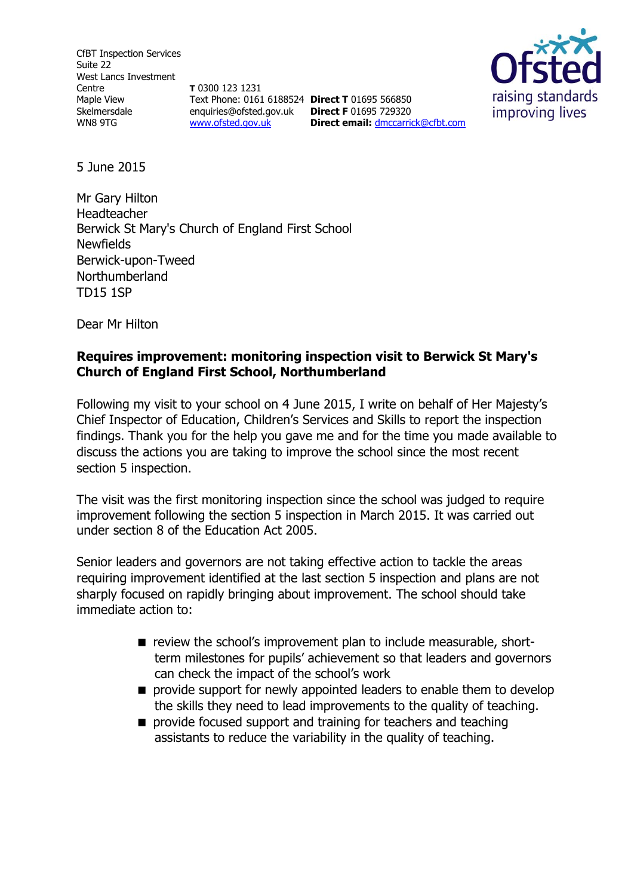CfBT Inspection Services Suite 22 West Lancs Investment Centre Maple View Skelmersdale WN8 9TG

**T** 0300 123 1231 Text Phone: 0161 6188524 **Direct T** 01695 566850 enquiries@ofsted.gov.uk **Direct F** 01695 729320 [www.ofsted.gov.uk](http://www.ofsted.gov.uk/)

**Direct email:** [dmccarrick@cfbt.com](file:///C:/Users/cinkster/AppData/Local/Microsoft/Windows/Temporary%20Internet%20Files/Content.Outlook/PZBYP38N/dmccarrick@cfbt.com)



5 June 2015

Mr Gary Hilton Headteacher Berwick St Mary's Church of England First School **Newfields** Berwick-upon-Tweed Northumberland TD15 1SP

Dear Mr Hilton

### **Requires improvement: monitoring inspection visit to Berwick St Mary's Church of England First School, Northumberland**

Following my visit to your school on 4 June 2015, I write on behalf of Her Majesty's Chief Inspector of Education, Children's Services and Skills to report the inspection findings. Thank you for the help you gave me and for the time you made available to discuss the actions you are taking to improve the school since the most recent section 5 inspection.

The visit was the first monitoring inspection since the school was judged to require improvement following the section 5 inspection in March 2015. It was carried out under section 8 of the Education Act 2005.

Senior leaders and governors are not taking effective action to tackle the areas requiring improvement identified at the last section 5 inspection and plans are not sharply focused on rapidly bringing about improvement. The school should take immediate action to:

- $\blacksquare$  review the school's improvement plan to include measurable, shortterm milestones for pupils' achievement so that leaders and governors can check the impact of the school's work
- **P** provide support for newly appointed leaders to enable them to develop the skills they need to lead improvements to the quality of teaching.
- **provide focused support and training for teachers and teaching** assistants to reduce the variability in the quality of teaching.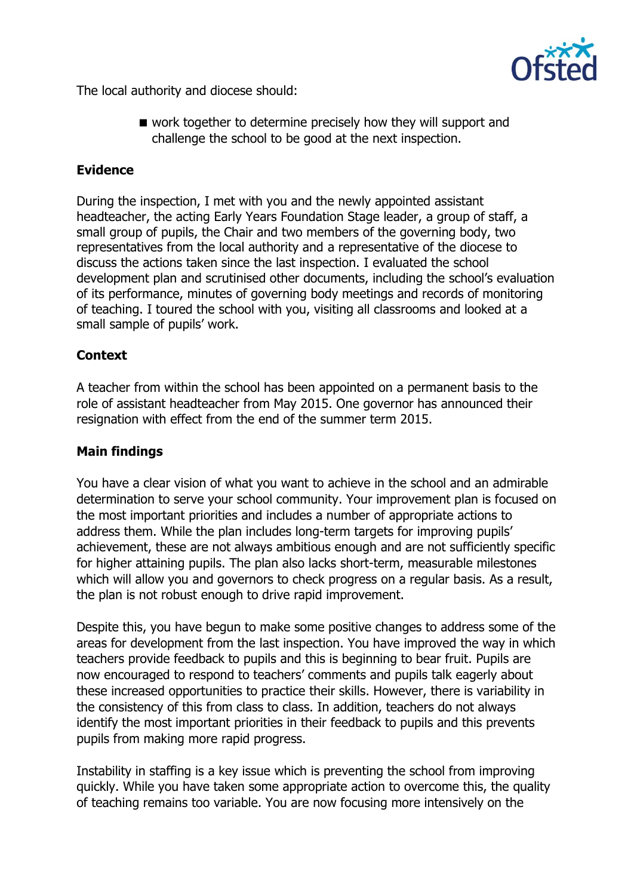

The local authority and diocese should:

work together to determine precisely how they will support and challenge the school to be good at the next inspection.

## **Evidence**

During the inspection, I met with you and the newly appointed assistant headteacher, the acting Early Years Foundation Stage leader, a group of staff, a small group of pupils, the Chair and two members of the governing body, two representatives from the local authority and a representative of the diocese to discuss the actions taken since the last inspection. I evaluated the school development plan and scrutinised other documents, including the school's evaluation of its performance, minutes of governing body meetings and records of monitoring of teaching. I toured the school with you, visiting all classrooms and looked at a small sample of pupils' work.

# **Context**

A teacher from within the school has been appointed on a permanent basis to the role of assistant headteacher from May 2015. One governor has announced their resignation with effect from the end of the summer term 2015.

### **Main findings**

You have a clear vision of what you want to achieve in the school and an admirable determination to serve your school community. Your improvement plan is focused on the most important priorities and includes a number of appropriate actions to address them. While the plan includes long-term targets for improving pupils' achievement, these are not always ambitious enough and are not sufficiently specific for higher attaining pupils. The plan also lacks short-term, measurable milestones which will allow you and governors to check progress on a regular basis. As a result, the plan is not robust enough to drive rapid improvement.

Despite this, you have begun to make some positive changes to address some of the areas for development from the last inspection. You have improved the way in which teachers provide feedback to pupils and this is beginning to bear fruit. Pupils are now encouraged to respond to teachers' comments and pupils talk eagerly about these increased opportunities to practice their skills. However, there is variability in the consistency of this from class to class. In addition, teachers do not always identify the most important priorities in their feedback to pupils and this prevents pupils from making more rapid progress.

Instability in staffing is a key issue which is preventing the school from improving quickly. While you have taken some appropriate action to overcome this, the quality of teaching remains too variable. You are now focusing more intensively on the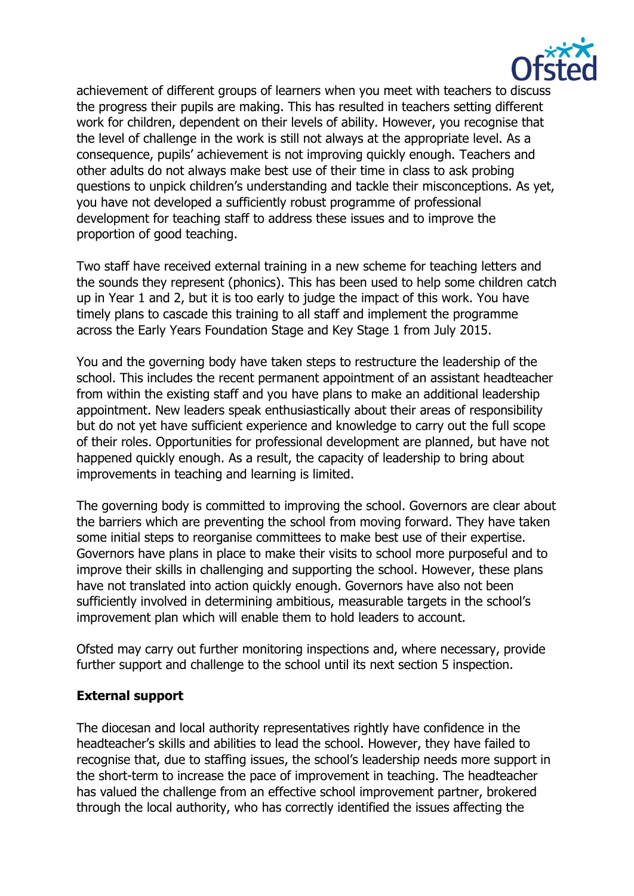

achievement of different groups of learners when you meet with teachers to discuss the progress their pupils are making. This has resulted in teachers setting different work for children, dependent on their levels of ability. However, you recognise that the level of challenge in the work is still not always at the appropriate level. As a consequence, pupils' achievement is not improving quickly enough. Teachers and other adults do not always make best use of their time in class to ask probing questions to unpick children's understanding and tackle their misconceptions. As yet, you have not developed a sufficiently robust programme of professional development for teaching staff to address these issues and to improve the proportion of good teaching.

Two staff have received external training in a new scheme for teaching letters and the sounds they represent (phonics). This has been used to help some children catch up in Year 1 and 2, but it is too early to judge the impact of this work. You have timely plans to cascade this training to all staff and implement the programme across the Early Years Foundation Stage and Key Stage 1 from July 2015.

You and the governing body have taken steps to restructure the leadership of the school. This includes the recent permanent appointment of an assistant headteacher from within the existing staff and you have plans to make an additional leadership appointment. New leaders speak enthusiastically about their areas of responsibility but do not yet have sufficient experience and knowledge to carry out the full scope of their roles. Opportunities for professional development are planned, but have not happened quickly enough. As a result, the capacity of leadership to bring about improvements in teaching and learning is limited.

The governing body is committed to improving the school. Governors are clear about the barriers which are preventing the school from moving forward. They have taken some initial steps to reorganise committees to make best use of their expertise. Governors have plans in place to make their visits to school more purposeful and to improve their skills in challenging and supporting the school. However, these plans have not translated into action quickly enough. Governors have also not been sufficiently involved in determining ambitious, measurable targets in the school's improvement plan which will enable them to hold leaders to account.

Ofsted may carry out further monitoring inspections and, where necessary, provide further support and challenge to the school until its next section 5 inspection.

### **External support**

The diocesan and local authority representatives rightly have confidence in the headteacher's skills and abilities to lead the school. However, they have failed to recognise that, due to staffing issues, the school's leadership needs more support in the short-term to increase the pace of improvement in teaching. The headteacher has valued the challenge from an effective school improvement partner, brokered through the local authority, who has correctly identified the issues affecting the